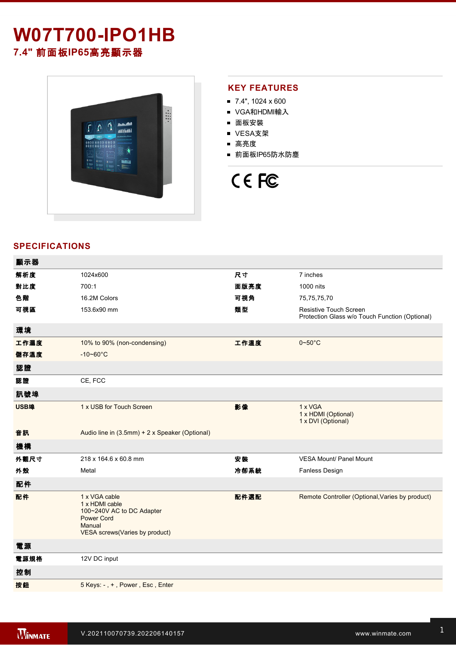# **W07T700-IPO1HB 7.4"** 前面板**IP65**高亮顯示器



## **KEY FEATURES**

- $\blacksquare$  7.4", 1024 x 600
- VGA和HDMI輸入
- 面板安裝
- VESA支架
- 高亮度
- 前面板IP65防水防塵

# CE FC

### **SPECIFICATIONS**

| 顯示器  |                                                                                                                               |      |                                                                          |
|------|-------------------------------------------------------------------------------------------------------------------------------|------|--------------------------------------------------------------------------|
| 解析度  | 1024x600                                                                                                                      | 尺寸   | 7 inches                                                                 |
| 對比度  | 700:1                                                                                                                         | 面版亮度 | 1000 nits                                                                |
| 色階   | 16.2M Colors                                                                                                                  | 可視角  | 75,75,75,70                                                              |
| 可視區  | 153.6x90 mm                                                                                                                   | 類型   | Resistive Touch Screen<br>Protection Glass w/o Touch Function (Optional) |
| 環境   |                                                                                                                               |      |                                                                          |
| 工作濕度 | 10% to 90% (non-condensing)                                                                                                   | 工作溫度 | $0\nightharpoonup 50^\circ C$                                            |
| 儲存溫度 | $-10 - 60^{\circ}C$                                                                                                           |      |                                                                          |
| 認證   |                                                                                                                               |      |                                                                          |
| 認證   | CE, FCC                                                                                                                       |      |                                                                          |
| 訊號埠  |                                                                                                                               |      |                                                                          |
| USB埠 | 1 x USB for Touch Screen                                                                                                      | 影像   | 1 x VGA<br>1 x HDMI (Optional)<br>1 x DVI (Optional)                     |
| 音訊   | Audio line in (3.5mm) + 2 x Speaker (Optional)                                                                                |      |                                                                          |
| 機構   |                                                                                                                               |      |                                                                          |
| 外觀尺寸 | 218 x 164.6 x 60.8 mm                                                                                                         | 安裝   | <b>VESA Mount/ Panel Mount</b>                                           |
| 外殼   | Metal                                                                                                                         | 冷卻系統 | Fanless Design                                                           |
| 配件   |                                                                                                                               |      |                                                                          |
| 配件   | 1 x VGA cable<br>1 x HDMI cable<br>100~240V AC to DC Adapter<br><b>Power Cord</b><br>Manual<br>VESA screws(Varies by product) | 配件選配 | Remote Controller (Optional, Varies by product)                          |
| 電源   |                                                                                                                               |      |                                                                          |
| 電源規格 | 12V DC input                                                                                                                  |      |                                                                          |
| 控制   |                                                                                                                               |      |                                                                          |
| 按鈕   | 5 Keys: -, +, Power, Esc, Enter                                                                                               |      |                                                                          |
|      |                                                                                                                               |      |                                                                          |